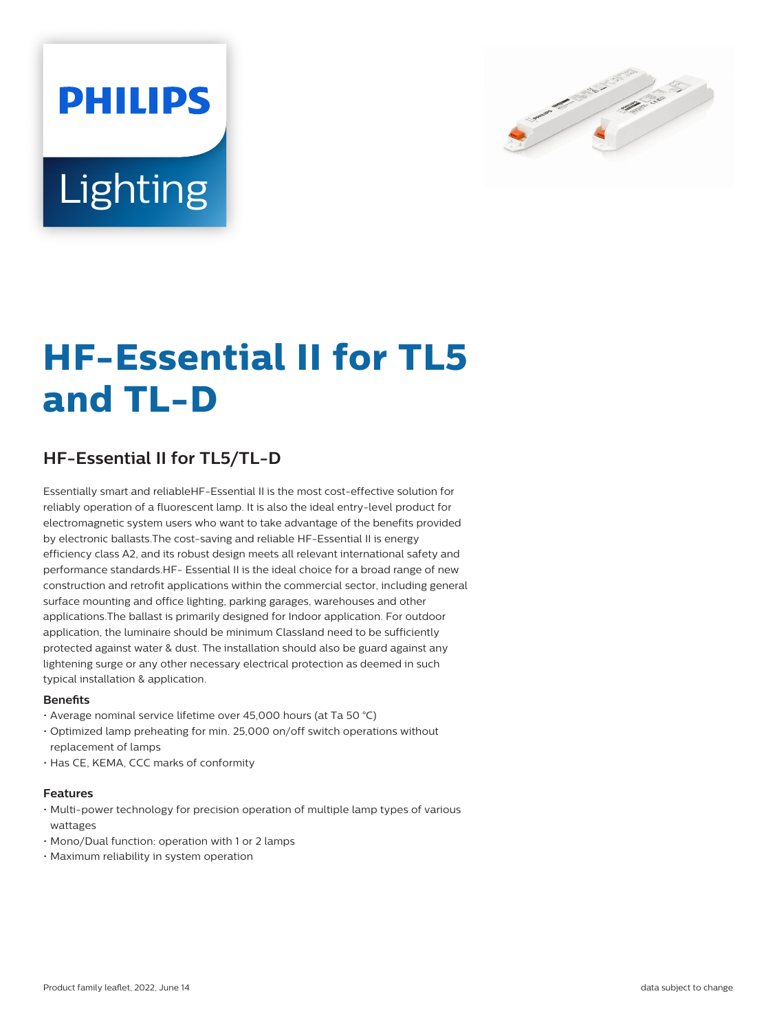



# **HF-Essential II for TL5 and TL-D**

# **HF-Essential II for TL5/TL-D**

Essentially smart and reliableHF-Essential II is the most cost-effective solution for reliably operation of a fluorescent lamp. It is also the ideal entry-level product for electromagnetic system users who want to take advantage of the benefits provided by electronic ballasts.The cost-saving and reliable HF-Essential II is energy efficiency class A2, and its robust design meets all relevant international safety and performance standards.HF- Essential II is the ideal choice for a broad range of new construction and retrofit applications within the commercial sector, including general surface mounting and office lighting, parking garages, warehouses and other applications.The ballast is primarily designed for Indoor application. For outdoor application, the luminaire should be minimum Classland need to be sufficiently protected against water & dust. The installation should also be guard against any lightening surge or any other necessary electrical protection as deemed in such typical installation & application.

## **Benefits**

- Average nominal service lifetime over 45,000 hours (at Ta 50 °C)
- Optimized lamp preheating for min. 25,000 on/off switch operations without replacement of lamps
- Has CE, KEMA, CCC marks of conformity

## **Features**

- Multi-power technology for precision operation of multiple lamp types of various wattages
- Mono/Dual function: operation with 1 or 2 lamps
- Maximum reliability in system operation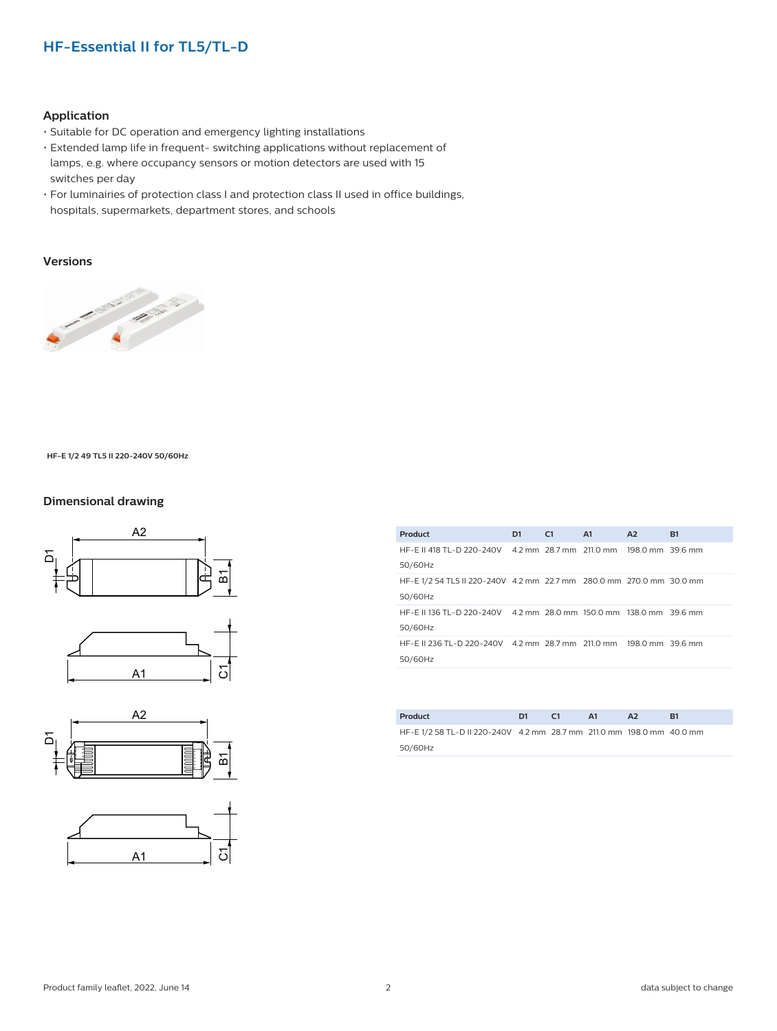# **HF-Essential II for TL5/TL-D**

# **Application**

- Suitable for DC operation and emergency lighting installations
- Extended lamp life in frequent- switching applications without replacement of lamps, e.g. where occupancy sensors or motion detectors are used with 15 switches per day
- For luminairies of protection class I and protection class II used in office buildings, hospitals, supermarkets, department stores, and schools

# **Versions**



#### **HF-E 1/2 49 TL5 II 220-240V 50/60Hz**

## **Dimensional drawing**









| Product                                                              | D <sub>1</sub> | C1 | A1 | A2 | <b>B1</b> |
|----------------------------------------------------------------------|----------------|----|----|----|-----------|
| HF-E II 418 TL-D 220-240V 4.2 mm 28.7 mm 211.0 mm 198.0 mm 39.6 mm   |                |    |    |    |           |
| 50/60Hz                                                              |                |    |    |    |           |
| HF-E 1/2 54 TL5 II 220-240V 4.2 mm 22.7 mm 280.0 mm 270.0 mm 30.0 mm |                |    |    |    |           |
| 50/60Hz                                                              |                |    |    |    |           |
| HF-E II 136 TL-D 220-240V 4.2 mm 28.0 mm 150.0 mm 138.0 mm 39.6 mm   |                |    |    |    |           |
| 50/60Hz                                                              |                |    |    |    |           |
| HF-E II 236 TL-D 220-240V 4.2 mm 28.7 mm 211.0 mm 198.0 mm 39.6 mm   |                |    |    |    |           |
| 50/60Hz                                                              |                |    |    |    |           |
|                                                                      |                |    |    |    |           |
|                                                                      |                |    |    |    |           |
|                                                                      |                |    |    |    |           |

| Product                                                              | D <sub>1</sub> | C1 | <b>A1</b> | A <sub>2</sub> | R1 |
|----------------------------------------------------------------------|----------------|----|-----------|----------------|----|
| HF-E1/2 58 TL-D II 220-240V 4.2 mm 28.7 mm 211.0 mm 198.0 mm 40.0 mm |                |    |           |                |    |
| 50/60Hz                                                              |                |    |           |                |    |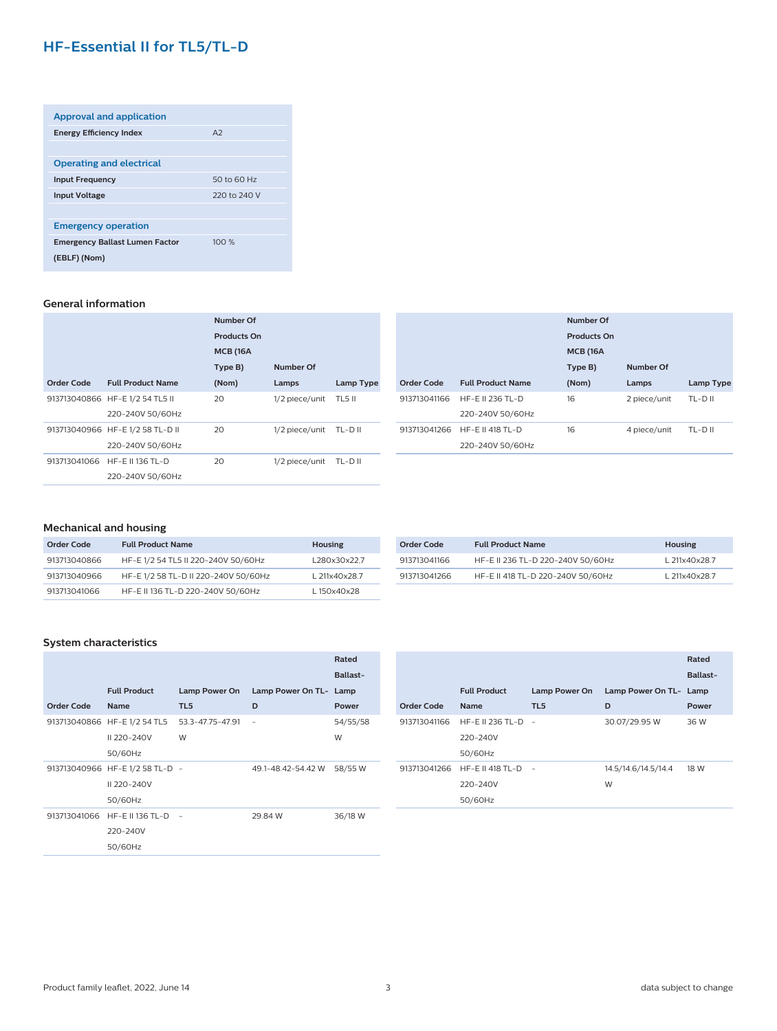# **HF-Essential II for TL5/TL-D**

| <b>Approval and application</b>       |              |  |  |  |  |  |
|---------------------------------------|--------------|--|--|--|--|--|
| <b>Energy Efficiency Index</b>        | A2           |  |  |  |  |  |
|                                       |              |  |  |  |  |  |
| <b>Operating and electrical</b>       |              |  |  |  |  |  |
| <b>Input Frequency</b>                | 50 to 60 Hz  |  |  |  |  |  |
| <b>Input Voltage</b>                  | 220 to 240 V |  |  |  |  |  |
|                                       |              |  |  |  |  |  |
| <b>Emergency operation</b>            |              |  |  |  |  |  |
| <b>Emergency Ballast Lumen Factor</b> | 100%         |  |  |  |  |  |
| (EBLF) (Nom)                          |              |  |  |  |  |  |
|                                       |              |  |  |  |  |  |

## **General information**

|                   |                                  | Number Of          |                |                  |
|-------------------|----------------------------------|--------------------|----------------|------------------|
|                   |                                  | <b>Products On</b> |                |                  |
|                   |                                  | <b>MCB (16A)</b>   |                |                  |
|                   |                                  | Type B)            | Number Of      |                  |
| <b>Order Code</b> | <b>Full Product Name</b>         | (Nom)              | Lamps          | <b>Lamp Type</b> |
|                   | 913713040866 HF-E 1/2 54 TL5 II  | 20                 | 1/2 piece/unit | TL5 II           |
|                   | 220-240V 50/60Hz                 |                    |                |                  |
|                   | 913713040966 HF-E 1/2 58 TL-D II | 20                 | 1/2 piece/unit | TL-D II          |
|                   | 220-240V 50/60Hz                 |                    |                |                  |
|                   | 913713041066 HF-E II 136 TL-D    | 20                 | 1/2 piece/unit | TL-D II          |
|                   | 220-240V 50/60Hz                 |                    |                |                  |

|                            |                                                     | Number Of<br><b>Products On</b> |                       |                       |  |
|----------------------------|-----------------------------------------------------|---------------------------------|-----------------------|-----------------------|--|
|                            |                                                     | <b>MCB (16A)</b><br>Type B)     | Number Of             |                       |  |
| Order Code<br>913713041166 | <b>Full Product Name</b><br><b>HF-E II 236 TL-D</b> | (Nom)<br>16                     | Lamps<br>2 piece/unit | Lamp Type<br>$TL-DII$ |  |
|                            | 220-240V 50/60Hz                                    |                                 |                       |                       |  |
| 913713041266               | <b>HF-E II 418 TL-D</b>                             | 16                              | 4 piece/unit          | TL-D II               |  |
|                            | 220-240V 50/60Hz                                    |                                 |                       |                       |  |

# **Mechanical and housing**

| Order Code   | <b>Full Product Name</b>             | <b>Housing</b> |
|--------------|--------------------------------------|----------------|
| 913713040866 | HF-E 1/2 54 TL5 II 220-240V 50/60Hz  | L280x30x22.7   |
| 913713040966 | HF-E 1/2 58 TL-D II 220-240V 50/60Hz | L 211x40x28.7  |
| 913713041066 | HF-E II 136 TL-D 220-240V 50/60Hz    | L150x40x28     |

| Order Code   | <b>Full Product Name</b>          | Housing       |  |
|--------------|-----------------------------------|---------------|--|
| 913713041166 | HF-E II 236 TL-D 220-240V 50/60Hz | L 211x40x28.7 |  |
| 913713041266 | HF-E II 418 TL-D 220-240V 50/60Hz | L 211x40x28.7 |  |

## **System characteristics**

|              |                                 |                  |                        | Rated    |
|--------------|---------------------------------|------------------|------------------------|----------|
|              |                                 |                  |                        | Ballast- |
|              | <b>Full Product</b>             | Lamp Power On    | Lamp Power On TL- Lamp |          |
| Order Code   | <b>Name</b>                     | TL <sub>5</sub>  | D                      | Power    |
|              | 913713040866 HF-E 1/2 54 TL5    | 53.3-47.75-47.91 |                        | 54/55/58 |
|              | II 220-240V                     | W                |                        | W        |
|              | 50/60Hz                         |                  |                        |          |
|              | 913713040966 HF-E 1/2 58 TL-D - |                  | 49.1-48.42-54.42 W     | 58/55 W  |
|              | II 220-240V                     |                  |                        |          |
|              | 50/60Hz                         |                  |                        |          |
| 913713041066 | <b>HF-F II 136 TL-D</b>         | $\sim$           | 29.84 W                | 36/18 W  |
|              | 220-240V                        |                  |                        |          |
|              | 50/60Hz                         |                  |                        |          |
|              |                                 |                  |                        |          |

|                   |                         |                      |                        | Rated    |
|-------------------|-------------------------|----------------------|------------------------|----------|
|                   |                         |                      |                        | Ballast- |
|                   | <b>Full Product</b>     | <b>Lamp Power On</b> | Lamp Power On TL- Lamp |          |
| <b>Order Code</b> | <b>Name</b>             | TL <sub>5</sub>      | D                      | Power    |
| 913713041166      | HF-E II 236 TL-D        |                      | 30.07/29.95 W          | 36 W     |
|                   | 220-240V                |                      |                        |          |
|                   | 50/60Hz                 |                      |                        |          |
| 913713041266      | <b>HF-E II 418 TL-D</b> | $\sim$               | 14.5/14.6/14.5/14.4    | 18 W     |
|                   | 220-240V                |                      | W                      |          |
|                   | 50/60Hz                 |                      |                        |          |